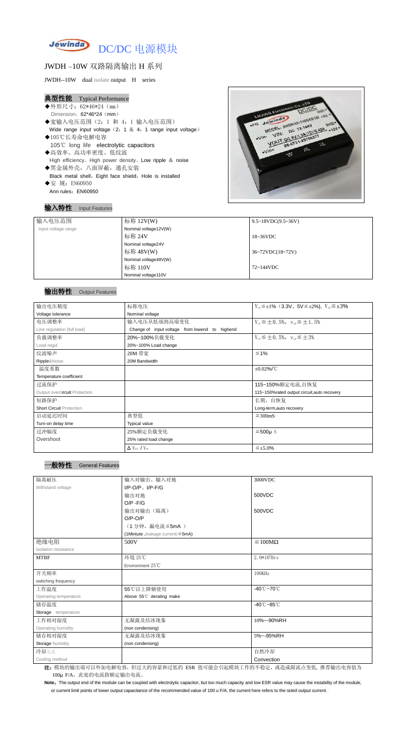

# JWDH –10W 双路隔离输出 H 系列

JWDH--10W dual isolate output H series

#### 典型性能 Typical Performance

- ◆外形尺寸: 62\*46\*24 (mm) Dimension: 62\*46\*24 (mm)
- ◆宽输入电压范围(2:1 和 4:1 输入电压范围) Wide range input voltage  $(2: 1 \& 4: 1$  range input voltage)
- ◆105℃长寿命电解电容 105℃ long life electrolytic capacitors ◆高效率、高功率密度、低纹波
- High efficiency、High power density、Low ripple & noise ◆黑金属外壳,八面屏蔽,通孔安装
- Black metal shell, Eight face shield, Hole is installed ◆安 规: EN60950

Ann rules: EN60950

Note: The output end of the module can be coupled with electrolytic capacitor, but too much capacity and low ESR value may cause the instability of the module, or current limit points of lower output capacitance of the recommended value of 100 u F/A, the current here refers to the rated output current.

## 输入特性 Input Features



## 输出特性 Output Features



| 输入电压范围              | 标称 12V(W)             | $9.5 \sim 18 VDC(9.5 \sim 36 V)$                  |
|---------------------|-----------------------|---------------------------------------------------|
| Input voltage range | Nominal voltage12V(W) |                                                   |
|                     | 标称 24V                | $18~36\textrm{VDC}$                               |
|                     | Nominal voltage24V    |                                                   |
|                     | 标称 48V(W)             | $36 \times 72 \text{VDC} (18 \times 72 \text{V})$ |
|                     | Nominal voltage48V(W) |                                                   |
|                     | 标称 110V               | 72~144VDC                                         |
|                     | Nominal voltage110V   |                                                   |

| 输出电压精度                          | 标称电压                                           | $V_{01} \leq \pm 1\%$ (3.3V, 5V $\leq \pm 2\%$ ), $V_{02} \leq \pm 3\%$ |
|---------------------------------|------------------------------------------------|-------------------------------------------------------------------------|
| Voltage tolerance               | Nominal voltage                                |                                                                         |
| 电压调整率                           | 输入电压从低端到高端变化                                   | $V_{01} \leq \pm 0.5\%$ , $V_{02} \leq \pm 1.5\%$                       |
| Line regulation (full load)     | Change of input voltage from lowend to highend |                                                                         |
| 负载调整率                           | 20%~100%负载变化                                   | $V_{01} \leq \pm 0.5\%$ , $V_{02} \leq \pm 3\%$                         |
| Load regul                      | 20%~100% Load change                           |                                                                         |
| 纹波噪声                            | 20M 带宽                                         | $≤ 1%$                                                                  |
| Ripple&Noise                    | 20M Bandwidth                                  |                                                                         |
| 温度系数                            |                                                | $\pm 0.02\%$ /°C                                                        |
| Temperature coefficient         |                                                |                                                                         |
| 过流保护                            |                                                | 115~150%额定电流,自恢复                                                        |
| Output overcircuit Protection   |                                                | 115~150% rated output circuit, auto recovery                            |
| 短路保护                            |                                                | 长期, 自恢复                                                                 |
| <b>Short Circuit Protection</b> |                                                | Long-term, auto recovery                                                |
| 启动延迟时间                          | 典型值                                            | $\leq$ 300mS                                                            |
| Turn-on delay time              | Typical value                                  |                                                                         |
| 过冲幅度                            | 25%额定负载变化                                      | $≤500µ$ S                                                               |
| Overshoot                       | 25% rated load change                          |                                                                         |
|                                 | $\Delta$ V <sub>01</sub> /V <sub>01</sub>      | $\leq \pm 5.0\%$                                                        |

| 隔离耐压                  | 输入对输出、输入对地                              | 3000VDC                         |
|-----------------------|-----------------------------------------|---------------------------------|
| Withstand voltage     | $I/P-O/P$ , $I/P$ -F/G                  |                                 |
|                       | 输出对地                                    | 500VDC                          |
|                       | $O/P - F/G$                             |                                 |
|                       | 输出对输出(隔离)                               | 500VDC                          |
|                       | $O/P-O/P$                               |                                 |
|                       | (1分钟,漏电流≦5mA)                           |                                 |
|                       | (1Mintute, leakage current) $\leq$ 5mA) |                                 |
| 绝缘电阻                  | 500V                                    | $\geq 100M\Omega$               |
| Isolation resistance  |                                         |                                 |
| <b>MTBF</b>           | 环境 25℃                                  | $2.0*105$ Hrs                   |
|                       | Environment 25°C                        |                                 |
| 开关频率                  |                                         | 100KHz                          |
| switching frequency   |                                         |                                 |
| 工作温度                  | 55℃以上降额使用                               | $-40^{\circ}$ C $-70^{\circ}$ C |
| Operating temperature | Above 55°C derating make                |                                 |
| 储存温度                  |                                         | $-40^{\circ}$ C $-85^{\circ}$ C |
| Storage temperature   |                                         |                                 |
| 工作相对湿度                | 无凝露及结冰现象                                | 10%~-90%RH                      |
| Operating humidity    | (non condensing)                        |                                 |
| 储存相对湿度                | 无凝露及结冰现象                                | 5%~-95%RH                       |
| Storage humidity      | (non condensing)                        |                                 |
| 冷却方式                  |                                         | 自然冷却                            |
| Cooling method        |                                         | Convection                      |

注: 模块的输出端可以外加电解电容,但过大的容量和过低的 ESR 值可能会引起模块工作的不稳定, 或造成限流点变低, 推荐输出电容值为 100μ F/A, 此处的电流指额定输出电流。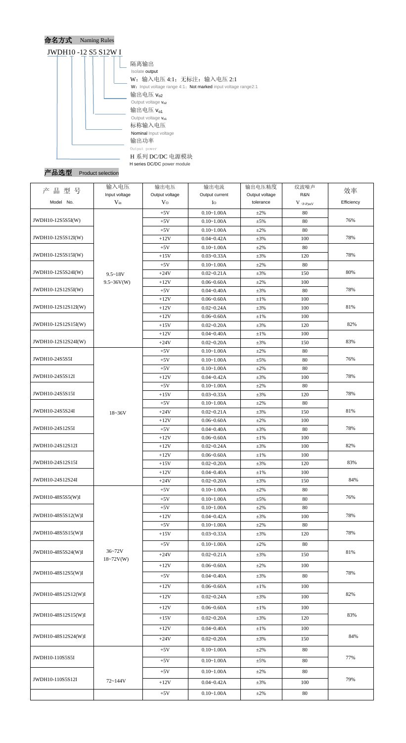

Product selection

| 品型号<br>产            | 输入电压                      | 输出电压                             | 输出电流                             | 输出电压精度                      | 纹波噪声                                          | 效率         |
|---------------------|---------------------------|----------------------------------|----------------------------------|-----------------------------|-----------------------------------------------|------------|
| Model No.           | Input voltage<br>$V_{in}$ | Output voltage<br>V <sub>O</sub> | Output current<br>$I_{\rm O}$    | Output voltage<br>tolerance | R&N<br>$V$ $\mathrm{(}p\text{-}p\mathrm{)}mV$ | Efficiency |
|                     |                           |                                  |                                  |                             |                                               |            |
| JWDH10-12S5S5I(W)   |                           | $+5V$                            | $0.10 - 1.00A$                   | $\pm 2\%$                   | 80                                            | 76%        |
|                     |                           | $+5V$<br>$+5V$                   | $0.10 - 1.00A$<br>$0.10 - 1.00A$ | ±5%<br>$±2\%$               | 80<br>80                                      |            |
| JWDH10-12S5S12I(W)  |                           | $+12V$                           | $0.04 - 0.42A$                   | $\pm 3\%$                   | 100                                           | 78%        |
|                     |                           | $+5V$                            | $0.10 - 1.00A$                   | $±2\%$                      | 80                                            |            |
| JWDH10-12S5S15I(W)  |                           | $+15V$                           | $0.03 - 0.33A$                   | $\pm 3\%$                   | 120                                           | 78%        |
|                     |                           | $+5V$                            | $0.10 - 1.00A$                   | $±2\%$                      | 80                                            |            |
| JWDH10-12S5S24I(W)  | $9.5 - 18V$               | $+24V$                           | $0.02 - 0.21A$                   | $\pm 3\%$                   | 150                                           | 80%        |
|                     | $9.5 \sim 36V(W)$         | $+12V$                           | $0.06 - 0.60A$                   | $±2\%$                      | 100                                           |            |
| JWDH10-12S12S5I(W)  |                           | $+5V$                            | $0.04 - 0.40A$                   | $\pm 3\%$                   | 80                                            | 78%        |
|                     |                           | $+12V$                           | $0.06 - 0.60A$                   | $\pm 1\%$                   | 100                                           |            |
| JWDH10-12S12S12I(W) |                           | $+12V$                           | $0.02 - 0.24A$                   | $\pm 3\%$                   | 100                                           | $81\%$     |
|                     |                           | $+12V$                           | $0.06 - 0.60A$                   | $\pm1\%$                    | 100                                           |            |
| JWDH10-12S12S15I(W) |                           | $+15V$                           | $0.02 - 0.20A$                   | $\pm 3\%$                   | 120                                           | 82%        |
|                     |                           | $+12V$                           | $0.04 - 0.40A$                   | $\pm1\%$                    | 100                                           |            |
| JWDH10-12S12S24I(W) |                           | $+24V$                           | $0.02 - 0.20A$                   | $\pm 3\%$                   | 150                                           | 83%        |
|                     |                           | $+5V$                            | $0.10 - 1.00A$                   | $\pm 2\%$                   | 80                                            |            |
| JWDH10-24S5S5I      |                           | $+5V$                            | $0.10 - 1.00A$                   | $\pm 5\%$                   | 80                                            | 76%        |
|                     |                           | $+5V$                            | $0.10 - 1.00A$                   | $+2\%$                      | 80                                            |            |
| JWDH10-24S5S12I     |                           | $+12V$                           | $0.04 - 0.42A$                   | $\pm 3\%$                   | 100                                           | 78%        |
|                     |                           | $+5V$                            | $0.10 - 1.00A$                   | $±2\%$                      | 80                                            |            |
| JWDH10-24S5S15I     |                           | $+15V$                           | $0.03 - 0.33A$                   | $\pm 3\%$                   | 120                                           | 78%        |
|                     |                           | $+5V$                            | $0.10 - 1.00A$                   | $+2\%$                      | 80                                            |            |
| JWDH10-24S5S24I     | $18 - 36V$                | $+24V$                           | $0.02 - 0.21A$                   | $\pm 3\%$                   | 150                                           | 81%        |
|                     |                           | $+12V$                           | $0.06 - 0.60A$                   | $±2\%$                      | 100                                           |            |
| JWDH10-24S12S5I     |                           | $+5V$                            | $0.04 - 0.40A$                   | $\pm 3\%$                   | 80                                            | 78%        |
|                     |                           | $+12V$                           | $0.06 - 0.60A$                   | $\pm1\%$                    | 100                                           |            |
| JWDH10-24S12S12I    |                           | $+12V$                           | $0.02 - 0.24A$                   | $\pm 3\%$                   | 100                                           | 82%        |
|                     |                           | $+12V$                           | $0.06 - 0.60A$                   | $\pm1\%$                    | 100                                           |            |
| JWDH10-24S12S15I    |                           | $+15V$                           | $0.02 - 0.20A$                   | $\pm 3\%$                   | 120                                           | 83%        |
|                     |                           | $+12V$                           | $0.04 - 0.40A$                   | $\pm1\%$                    | 100                                           |            |
| JWDH10-24S12S24I    |                           | $+24V$                           | $0.02 - 0.20A$                   | $\pm 3\%$                   | 150                                           | 84%        |
|                     |                           | $+5V$                            | $0.10 - 1.00A$                   | $±2\%$                      | 80                                            |            |
| JWDH10-48S5S5(W)I   |                           | $+5V$                            | $0.10 - 1.00A$                   | $\pm$ 5%                    | 80                                            | 76%        |
|                     |                           | $+5V$                            | $0.10 - 1.00A$                   | $±2\%$                      | 80                                            |            |
| JWDH10-48S5S12(W)I  |                           | $+12V$                           | $0.04 - 0.42A$                   | $\pm 3\%$                   | 100                                           | 78%        |
|                     |                           | $+5V$                            | $0.10 - 1.00A$                   | $±2\%$                      | 80                                            |            |
| JWDH10-48S5S15(W)I  |                           | $+15V$                           | $0.03 - 0.33A$                   | $\pm 3\%$                   | 120                                           | 78%        |
|                     |                           | $+5V$                            | $0.10 - 1.00A$                   | $\pm 2\%$                   | 80                                            |            |
| JWDH10-48S5S24(W)I  | $36 - 72V$                | $+24V$                           | $0.02 - 0.21A$                   | $\pm 3\%$                   | 150                                           | 81%        |
|                     | $18 - 72V(W)$             | $+12V$                           | $0.06 - 0.60A$                   | $\pm 2\%$                   | 100                                           |            |
| JWDH10-48S12S5(W)I  |                           |                                  |                                  |                             |                                               | 78%        |
|                     |                           | $+5V$                            | $0.04 - 0.40A$                   | $\pm 3\%$                   | 80                                            |            |
|                     |                           | $+12V$                           | $0.06 - 0.60A$                   | $\pm1\%$                    | 100                                           |            |
| JWDH10-48S12S12(W)I |                           | $+12V$                           | $0.02 - 0.24A$                   | $\pm 3\%$                   | 100                                           | 82%        |
|                     |                           | $+12V$                           | $0.06 - 0.60A$                   | $\pm1\%$                    | 100                                           |            |
| JWDH10-48S12S15(W)I |                           | $+15V$                           | $0.02 - 0.20A$                   | $\pm 3\%$                   | 120                                           | 83%        |
|                     |                           |                                  |                                  |                             |                                               |            |
| JWDH10-48S12S24(W)I |                           | $+12V$                           | $0.04 - 0.40A$                   | $\pm1\%$                    | 100                                           | 84%        |
|                     |                           | $+24V$                           | $0.02 - 0.20A$                   | $\pm 3\%$                   | 150                                           |            |
|                     |                           | $+5V$                            | $0.10 - 1.00A$                   | $\pm 2\%$                   | 80                                            |            |
| JWDH10-110S5S5I     |                           | $+5V$                            | $0.10 - 1.00A$                   | $\pm$ 5%                    | 80                                            | 77%        |
|                     |                           | $+5V$                            | $0.10 - 1.00A$                   | $\pm 2\%$                   | 80                                            |            |
| JWDH10-110S5S12I    | 72~144V                   |                                  |                                  |                             |                                               | 79%        |
|                     |                           | $+12V$                           | $0.04 - 0.42A$                   | $\pm 3\%$                   | 100                                           |            |
|                     |                           | $+5V$                            | $0.10 - 1.00A$                   | $\pm 2\%$                   | 80                                            |            |